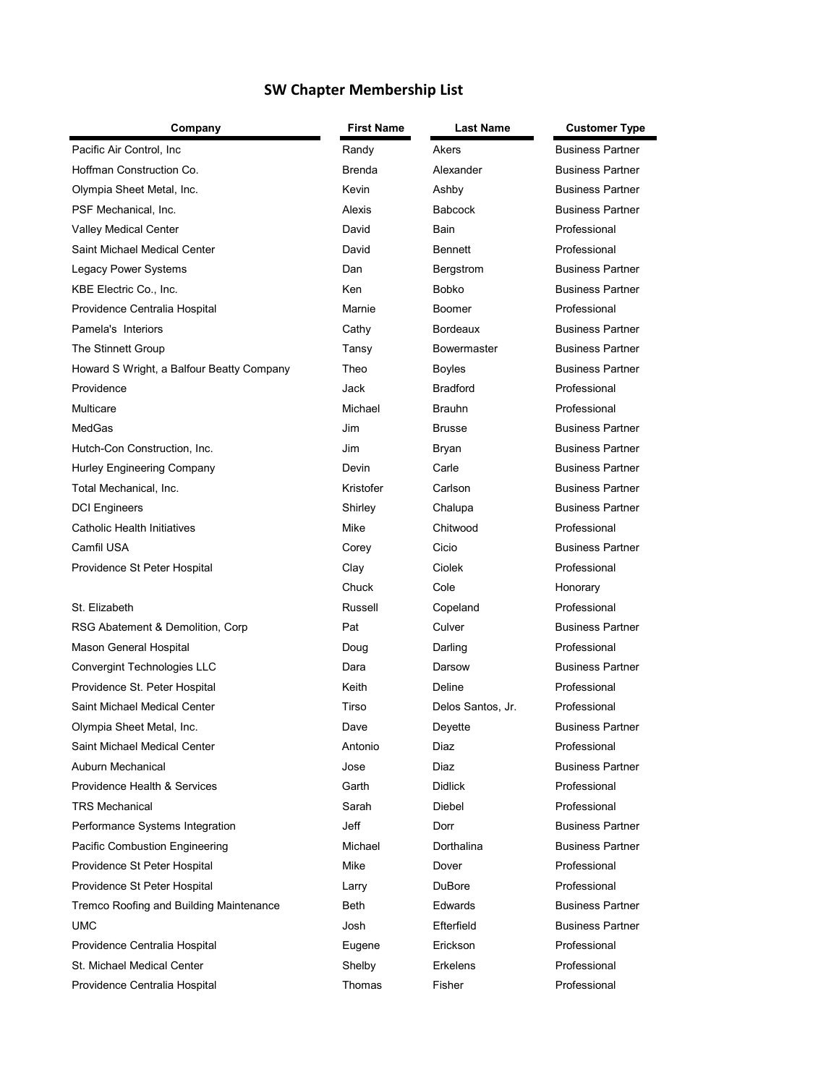## **SW Chapter Membership List**

| Company                                   | First Name    | Last Name         | <b>Customer Type</b>    |
|-------------------------------------------|---------------|-------------------|-------------------------|
| Pacific Air Control, Inc.                 | Randy         | Akers             | <b>Business Partner</b> |
| Hoffman Construction Co.                  | <b>Brenda</b> | Alexander         | <b>Business Partner</b> |
| Olympia Sheet Metal, Inc.                 | Kevin         | Ashby             | <b>Business Partner</b> |
| PSF Mechanical, Inc.                      | Alexis        | <b>Babcock</b>    | <b>Business Partner</b> |
| Valley Medical Center                     | David         | <b>Bain</b>       | Professional            |
| Saint Michael Medical Center              | David         | <b>Bennett</b>    | Professional            |
| Legacy Power Systems                      | Dan           | Bergstrom         | <b>Business Partner</b> |
| KBE Electric Co., Inc.                    | Ken           | <b>Bobko</b>      | <b>Business Partner</b> |
| Providence Centralia Hospital             | Marnie        | <b>Boomer</b>     | Professional            |
| Pamela's Interiors                        | Cathy         | <b>Bordeaux</b>   | <b>Business Partner</b> |
| The Stinnett Group                        | Tansy         | Bowermaster       | <b>Business Partner</b> |
| Howard S Wright, a Balfour Beatty Company | Theo          | Boyles            | <b>Business Partner</b> |
| Providence                                | Jack          | <b>Bradford</b>   | Professional            |
| Multicare                                 | Michael       | <b>Brauhn</b>     | Professional            |
| MedGas                                    | Jim           | <b>Brusse</b>     | <b>Business Partner</b> |
| Hutch-Con Construction, Inc.              | Jim           | Bryan             | <b>Business Partner</b> |
| Hurley Engineering Company                | Devin         | Carle             | <b>Business Partner</b> |
| Total Mechanical, Inc.                    | Kristofer     | Carlson           | <b>Business Partner</b> |
| <b>DCI Engineers</b>                      | Shirley       | Chalupa           | <b>Business Partner</b> |
| Catholic Health Initiatives               | Mike          | Chitwood          | Professional            |
| Camfil USA                                | Corey         | Cicio             | <b>Business Partner</b> |
| Providence St Peter Hospital              | Clay          | Ciolek            | Professional            |
|                                           | Chuck         | Cole              | Honorary                |
| St. Elizabeth                             | Russell       | Copeland          | Professional            |
| RSG Abatement & Demolition, Corp.         | Pat           | Culver            | <b>Business Partner</b> |
| Mason General Hospital                    | Doug          | Darling           | Professional            |
| Convergint Technologies LLC               | Dara          | Darsow            | <b>Business Partner</b> |
| Providence St. Peter Hospital             | Keith         | Deline            | Professional            |
| Saint Michael Medical Center              | Tirso         | Delos Santos, Jr. | Professional            |
| Olympia Sheet Metal, Inc.                 | Dave          | Deyette           | <b>Business Partner</b> |
| Saint Michael Medical Center              | Antonio       | Diaz              | Professional            |
| Auburn Mechanical                         | Jose          | Diaz              | <b>Business Partner</b> |
| <b>Providence Health &amp; Services</b>   | Garth         | <b>Didlick</b>    | Professional            |
| <b>TRS Mechanical</b>                     | Sarah         | Diebel            | Professional            |
| Performance Systems Integration           | Jeff          | Dorr              | <b>Business Partner</b> |
| Pacific Combustion Engineering            | Michael       | <b>Dorthalina</b> | <b>Business Partner</b> |
| Providence St Peter Hospital              | Mike          | Dover             | Professional            |
| Providence St Peter Hospital              | Larry         | <b>DuBore</b>     | Professional            |
| Tremco Roofing and Building Maintenance   | Beth          | Edwards           | <b>Business Partner</b> |
| <b>UMC</b>                                | Josh          | Efterfield        | <b>Business Partner</b> |
| Providence Centralia Hospital             | Eugene        | Erickson          | Professional            |
| St. Michael Medical Center                | Shelby        | Erkelens          | Professional            |
| Providence Centralia Hospital             | Thomas        | Fisher            | Professional            |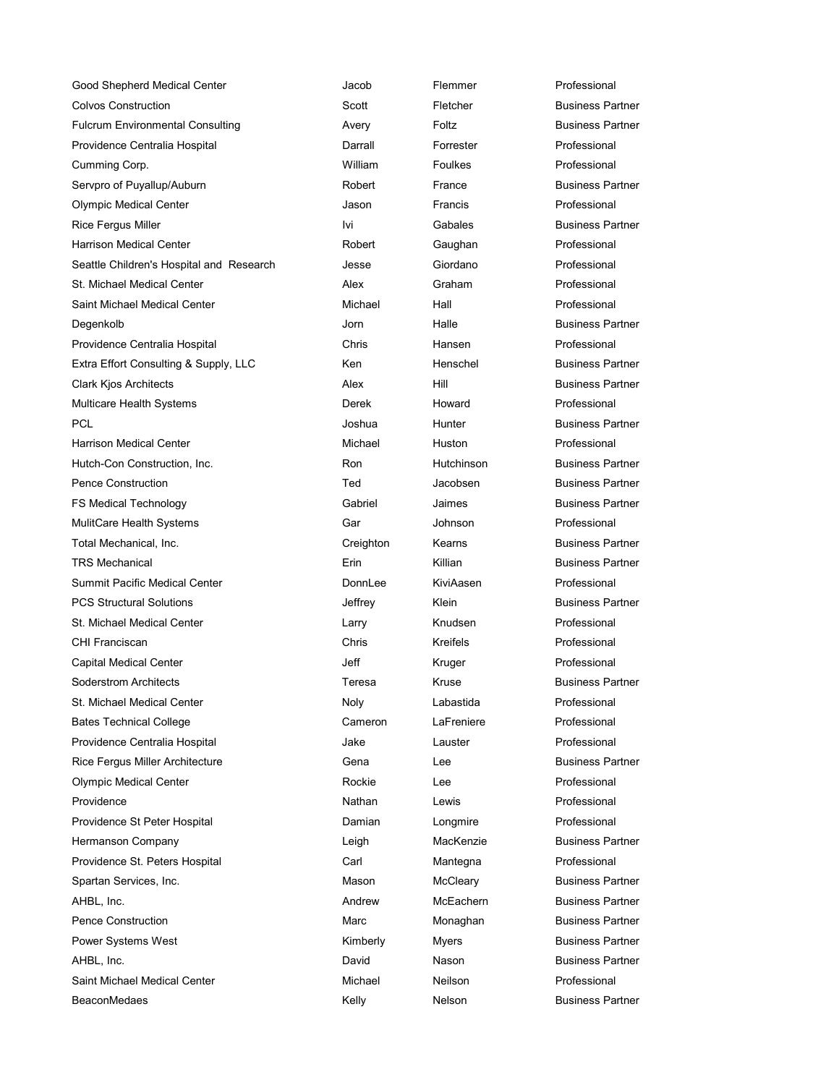| Good Shepherd Medical Center             | Jacob     | Flemmer         | Professional            |
|------------------------------------------|-----------|-----------------|-------------------------|
| <b>Colvos Construction</b>               | Scott     | Fletcher        | <b>Business Partner</b> |
| <b>Fulcrum Environmental Consulting</b>  | Avery     | Foltz           | <b>Business Partner</b> |
| Providence Centralia Hospital            | Darrall   | Forrester       | Professional            |
| Cumming Corp.                            | William   | <b>Foulkes</b>  | Professional            |
| Servpro of Puyallup/Auburn               | Robert    | France          | <b>Business Partner</b> |
| <b>Olympic Medical Center</b>            | Jason     | Francis         | Professional            |
| Rice Fergus Miller                       | lvi       | Gabales         | <b>Business Partner</b> |
| Harrison Medical Center                  | Robert    | Gaughan         | Professional            |
| Seattle Children's Hospital and Research | Jesse     | Giordano        | Professional            |
| <b>St. Michael Medical Center</b>        | Alex      | Graham          | Professional            |
| Saint Michael Medical Center             | Michael   | Hall            | Professional            |
| Degenkolb                                | Jorn      | Halle           | <b>Business Partner</b> |
| Providence Centralia Hospital            | Chris     | Hansen          | Professional            |
| Extra Effort Consulting & Supply, LLC    | Ken       | Henschel        | <b>Business Partner</b> |
| Clark Kjos Architects                    | Alex      | Hill            | <b>Business Partner</b> |
| Multicare Health Systems                 | Derek     | Howard          | Professional            |
| PCL.                                     | Joshua    | Hunter          | <b>Business Partner</b> |
| <b>Harrison Medical Center</b>           | Michael   | Huston          | Professional            |
| Hutch-Con Construction, Inc.             | Ron       | Hutchinson      | <b>Business Partner</b> |
| <b>Pence Construction</b>                | Ted       | Jacobsen        | <b>Business Partner</b> |
| FS Medical Technology                    | Gabriel   | Jaimes          | <b>Business Partner</b> |
| MulitCare Health Systems                 | Gar       | Johnson         | Professional            |
| Total Mechanical, Inc.                   | Creighton | Kearns          | <b>Business Partner</b> |
| <b>TRS Mechanical</b>                    | Erin      | Killian         | <b>Business Partner</b> |
| <b>Summit Pacific Medical Center</b>     | DonnLee   | KiviAasen       | Professional            |
| <b>PCS Structural Solutions</b>          | Jeffrey   | Klein           | <b>Business Partner</b> |
| St. Michael Medical Center               | Larry     | Knudsen         | Professional            |
| CHI Franciscan                           | Chris     | <b>Kreifels</b> | Professional            |
| Capital Medical Center                   | Jeff      | Kruger          | Professional            |
| Soderstrom Architects                    | Teresa    | Kruse           | <b>Business Partner</b> |
| St. Michael Medical Center               | Noly      | Labastida       | Professional            |
| <b>Bates Technical College</b>           | Cameron   | LaFreniere      | Professional            |
| Providence Centralia Hospital            | Jake      | Lauster         | Professional            |
| Rice Fergus Miller Architecture          | Gena      | Lee             | <b>Business Partner</b> |
| <b>Olympic Medical Center</b>            | Rockie    | Lee             | Professional            |
| Providence                               | Nathan    | Lewis           | Professional            |
| Providence St Peter Hospital             | Damian    | Longmire        | Professional            |
| Hermanson Company                        | Leigh     | MacKenzie       | <b>Business Partner</b> |
| Providence St. Peters Hospital           | Carl      | Mantegna        | Professional            |
| Spartan Services, Inc.                   | Mason     | McCleary        | <b>Business Partner</b> |
| AHBL, Inc.                               | Andrew    | McEachern       | <b>Business Partner</b> |
| <b>Pence Construction</b>                | Marc      | Monaghan        | <b>Business Partner</b> |
| Power Systems West                       | Kimberly  | <b>Myers</b>    | <b>Business Partner</b> |
| AHBL, Inc.                               | David     | Nason           | <b>Business Partner</b> |
| Saint Michael Medical Center             | Michael   | <b>Neilson</b>  | Professional            |
| <b>BeaconMedaes</b>                      | Kelly     | Nelson          | <b>Business Partner</b> |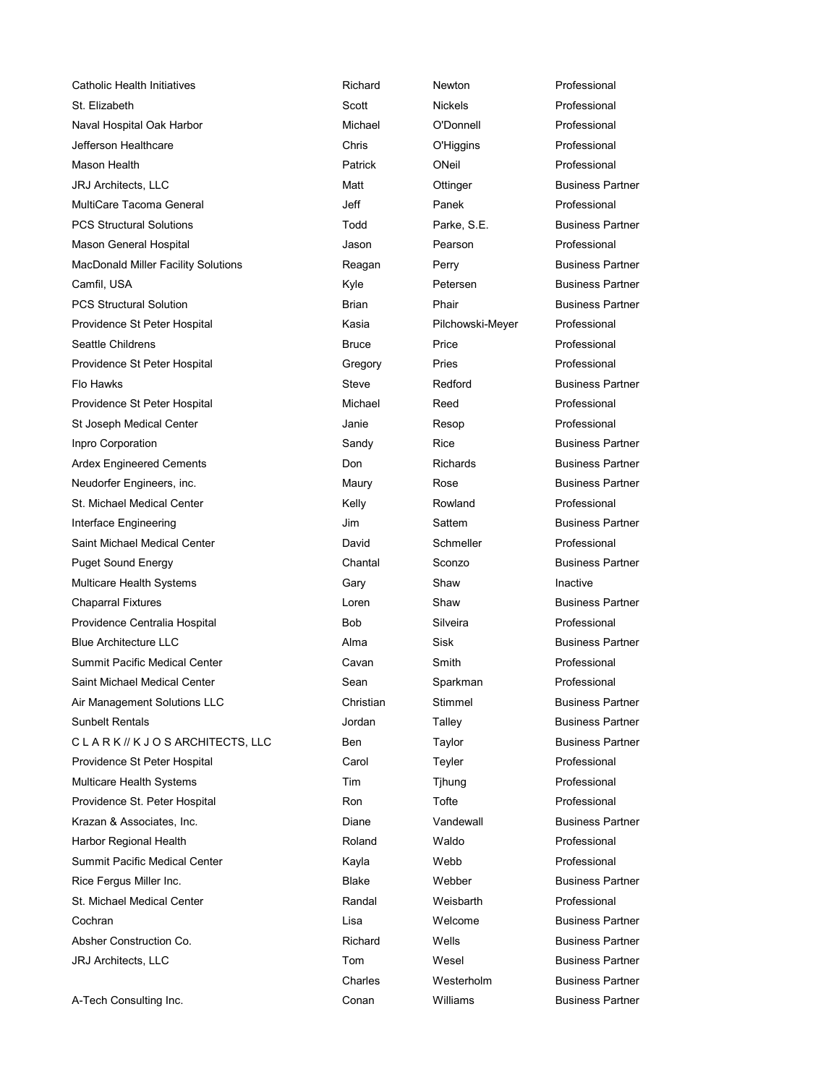Catholic Health Initiatives **Richard** Richard Newton **Newton** Professional St. Elizabeth Scott Nickels Professional Naval Hospital Oak Harbor **Michael Connell Connell** Professional O'Donnell Professional Jefferson Healthcare Chris O'Higgins Professional Mason Health Patrick ONeil Professional JRJ Architects, LLC **Architects**, LLC Matt **Matt** Ottinger Business Partner MultiCare Tacoma General **MultiCare Tacoma General** Jeff **Panek Professional** PCS Structural Solutions Todd Parke, S.E. Business Partner Mason General Hospital **Mason** Jason Pearson Pearson Professional MacDonald Miller Facility Solutions **Reagan** Perry **Perry Business Partner** Camfil, USA **Camfil**, USA **Camfil**, USA **Reserves Partner Camfil**, USA **Camfil**, USA PCS Structural Solution **Business Partner** Brian Brian Phair Business Partner Providence St Peter Hospital **Kasia** Kasia Pilchowski-Meyer Professional Seattle Childrens **Bruce Bruce** Price **Professional** Providence St Peter Hospital **Communist Creation** Gregory Pries Professional Professional Flo Hawks **Steve** Redford Business Partner Providence St Peter Hospital **Michael** Michael Reed **Reed** Professional St Joseph Medical Center **Material Center Accord Center Accord Center** Janie Resop **Resort Professional** Inpro Corporation **Sandy** Rice **Business Partner Corporation Sandy** Rice **Rice** Business Partner Ardex Engineered Cements **Article Engineered Cements Don** Richards Business Partner Neudorfer Engineers, inc. The Control of Maury Maury Rose Research Business Partner St. Michael Medical Center **Ack Acknowledge Center Center Center According Center Center Center According Professional** Interface Engineering **Interface Engineering** Sattem **Sattem** Sattem Business Partner Saint Michael Medical Center **David** David Schmeller **Professional** Puget Sound Energy **Chantal Sconzo** Business Partner Multicare Health Systems **Gary** Gary Shaw Shaw Inactive Chaparral Fixtures **Chaparral Fixtures** Chaparral Fixtures **Chaparral Fixtures Chaparral Fixtures Chaparral** Fixtures **Chaparral** Fixtures **Chaparral** Fixtures **Chaparral** Fixtures **Chaparral** Fixtures **Chaparral** Fixt Providence Centralia Hospital **Bob** Bob Silveira **Bob** Silveira Professional Blue Architecture LLC **Alma** Sisk Business Partner Summit Pacific Medical Center **Cavan** Cavan Smith Smith Professional Saint Michael Medical Center **Sean** Sean Sparkman **Sparkman** Professional Air Management Solutions LLC and Christian Stimmel Business Partner Sunbelt Rentals **Sunbelt Rentals Jordan** Talley **Communist Partner** Business Partner CLARK // K J O S ARCHITECTS, LLC Ben Taylor Business Partner Providence St Peter Hospital **National Carol Carol Carol Professional** Professional Multicare Health Systems The Tim Tihung Professional Time Thung Professional Providence St. Peter Hospital **Ron** Ron Tofte **Professional** Ron Tofte **Professional** Krazan & Associates, Inc. The Control of Chine Control Diane Control Vandewall Business Partner Harbor Regional Health **Roland** Roland Waldo **Professional** Summit Pacific Medical Center **Acknowledge Contract Center** Kayla Webb **Professional** Rice Fergus Miller Inc. The State State Business Partner Business Partner St. Michael Medical Center **Randal** Weisbarth Professional Professional Randal Weisbarth Professional Cochran Lisa Welcome Business Partner Absher Construction Co. The Construction Co. All Richard Wells Business Partner JRJ Architects, LLC **Tom** Wesel Business Partner

A-Tech Consulting Inc. **Conan** Conan Williams Business Partner

Charles Westerholm Business Partner